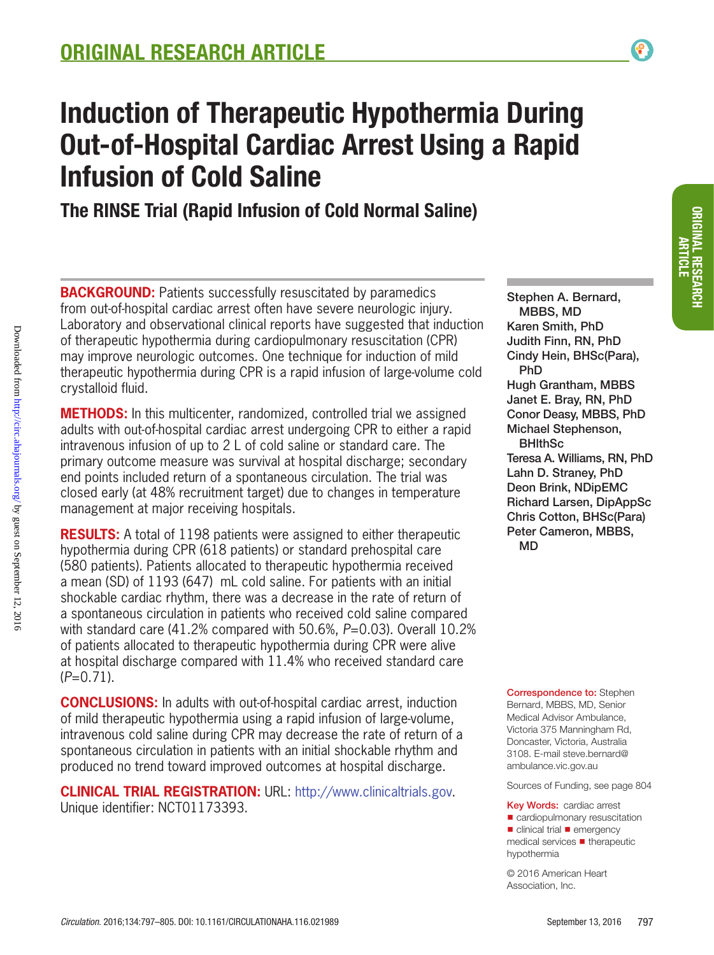# Induction of Therapeutic Hypothermia During Out-of-Hospital Cardiac Arrest Using a Rapid Infusion of Cold Saline

The RINSE Trial (Rapid Infusion of Cold Normal Saline)

**BACKGROUND:** Patients successfully resuscitated by paramedics from out-of-hospital cardiac arrest often have severe neurologic injury. Laboratory and observational clinical reports have suggested that induction of therapeutic hypothermia during cardiopulmonary resuscitation (CPR) may improve neurologic outcomes. One technique for induction of mild therapeutic hypothermia during CPR is a rapid infusion of large-volume cold crystalloid fluid.

**METHODS:** In this multicenter, randomized, controlled trial we assigned adults with out-of-hospital cardiac arrest undergoing CPR to either a rapid intravenous infusion of up to 2 L of cold saline or standard care. The primary outcome measure was survival at hospital discharge; secondary end points included return of a spontaneous circulation. The trial was closed early (at 48% recruitment target) due to changes in temperature management at major receiving hospitals.

Downloaded from http://circ.ahajournals.org/ by guest on September 12, 2016 Downloaded from <http://circ.ahajournals.org/> by guest on September 12, 2016

**RESULTS:** A total of 1198 patients were assigned to either therapeutic hypothermia during CPR (618 patients) or standard prehospital care (580 patients). Patients allocated to therapeutic hypothermia received a mean (SD) of 1193 (647) mL cold saline. For patients with an initial shockable cardiac rhythm, there was a decrease in the rate of return of a spontaneous circulation in patients who received cold saline compared with standard care (41.2% compared with 50.6%, *P*=0.03). Overall 10.2% of patients allocated to therapeutic hypothermia during CPR were alive at hospital discharge compared with 11.4% who received standard care (*P*=0.71).

**CONCLUSIONS:** In adults with out-of-hospital cardiac arrest, induction of mild therapeutic hypothermia using a rapid infusion of large-volume, intravenous cold saline during CPR may decrease the rate of return of a spontaneous circulation in patients with an initial shockable rhythm and produced no trend toward improved outcomes at hospital discharge.

**Clinical Trial Registration:** URL: http://www.clinicaltrials.gov. Unique identifier: NCT01173393.

Stephen A. Bernard, MBBS, MD Karen Smith, PhD Judith Finn, RN, PhD Cindy Hein, BHSc(Para), PhD Hugh Grantham, MBBS Janet E. Bray, RN, PhD Conor Deasy, MBBS, PhD Michael Stephenson, **BHIthSc** Teresa A. Williams, RN, PhD Lahn D. Straney, PhD Deon Brink, NDipEMC Richard Larsen, DipAppSc Chris Cotton, BHSc(Para) Peter Cameron, MBBS, MD

**Correspondence to: Stephen** Bernard, MBBS, MD, Senior Medical Advisor Ambulance, Victoria 375 Manningham Rd, Doncaster, Victoria, Australia 3108. E-mail [steve.bernard@](mailto: steve.bernard@ambulance.vic.gov.au ) [ambulance.vic.gov.au](mailto: steve.bernard@ambulance.vic.gov.au )

Sources of Funding, see page 804

Key Words: cardiac arrest ■ cardiopulmonary resuscitation ■ clinical trial ■ emergency medical services ◼ therapeutic hypothermia

© 2016 American Heart Association, Inc.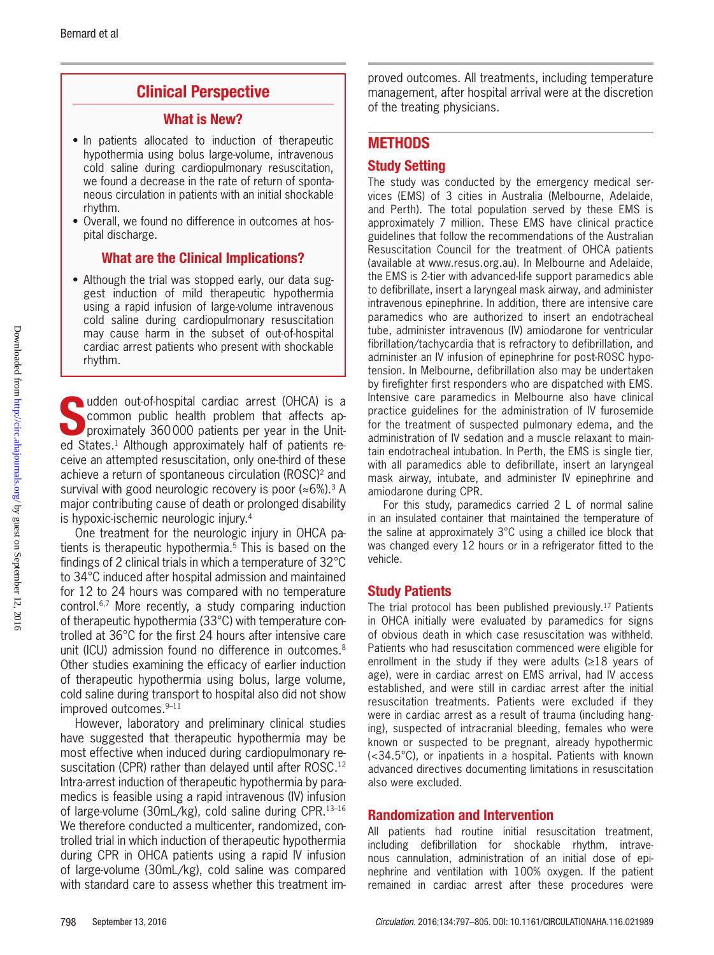## Clinical Perspective

#### What is New?

- In patients allocated to induction of therapeutic hypothermia using bolus large-volume, intravenous cold saline during cardiopulmonary resuscitation, we found a decrease in the rate of return of spontaneous circulation in patients with an initial shockable rhythm.
- Overall, we found no difference in outcomes at hospital discharge.

#### What are the Clinical Implications?

• Although the trial was stopped early, our data suggest induction of mild therapeutic hypothermia using a rapid infusion of large-volume intravenous cold saline during cardiopulmonary resuscitation may cause harm in the subset of out-of-hospital cardiac arrest patients who present with shockable rhythm.

udden out-of-hospital cardiac arrest (OHCA) is a<br>common public health problem that affects ap-<br>proximately 360000 patients per year in the Unit-<br>od States L Although approximately half of patients recommon public health problem that affects approximately 360000 patients per year in the United States.<sup>1</sup> Although approximately half of patients receive an attempted resuscitation, only one-third of these achieve a return of spontaneous circulation (ROSC)<sup>2</sup> and survival with good neurologic recovery is poor  $(*6\%).$ <sup>3</sup> A major contributing cause of death or prolonged disability is hypoxic-ischemic neurologic injury.4

One treatment for the neurologic injury in OHCA patients is therapeutic hypothermia.5 This is based on the findings of 2 clinical trials in which a temperature of 32°C to 34°C induced after hospital admission and maintained for 12 to 24 hours was compared with no temperature control.6,7 More recently, a study comparing induction of therapeutic hypothermia (33°C) with temperature controlled at 36°C for the first 24 hours after intensive care unit (ICU) admission found no difference in outcomes.<sup>8</sup> Other studies examining the efficacy of earlier induction of therapeutic hypothermia using bolus, large volume, cold saline during transport to hospital also did not show improved outcomes.9–11

However, laboratory and preliminary clinical studies have suggested that therapeutic hypothermia may be most effective when induced during cardiopulmonary resuscitation (CPR) rather than delayed until after ROSC.12 Intra-arrest induction of therapeutic hypothermia by paramedics is feasible using a rapid intravenous (IV) infusion of large-volume (30mL/kg), cold saline during CPR.13–16 We therefore conducted a multicenter, randomized, controlled trial in which induction of therapeutic hypothermia during CPR in OHCA patients using a rapid IV infusion of large-volume (30mL/kg), cold saline was compared with standard care to assess whether this treatment improved outcomes. All treatments, including temperature management, after hospital arrival were at the discretion of the treating physicians.

## **METHODS**

#### Study Setting

The study was conducted by the emergency medical services (EMS) of 3 cities in Australia (Melbourne, Adelaide, and Perth). The total population served by these EMS is approximately 7 million. These EMS have clinical practice guidelines that follow the recommendations of the Australian Resuscitation Council for the treatment of OHCA patients (available at www.resus.org.au). In Melbourne and Adelaide, the EMS is 2-tier with advanced-life support paramedics able to defibrillate, insert a laryngeal mask airway, and administer intravenous epinephrine. In addition, there are intensive care paramedics who are authorized to insert an endotracheal tube, administer intravenous (IV) amiodarone for ventricular fibrillation/tachycardia that is refractory to defibrillation, and administer an IV infusion of epinephrine for post-ROSC hypotension. In Melbourne, defibrillation also may be undertaken by firefighter first responders who are dispatched with EMS. Intensive care paramedics in Melbourne also have clinical practice guidelines for the administration of IV furosemide for the treatment of suspected pulmonary edema, and the administration of IV sedation and a muscle relaxant to maintain endotracheal intubation. In Perth, the EMS is single tier, with all paramedics able to defibrillate, insert an laryngeal mask airway, intubate, and administer IV epinephrine and amiodarone during CPR.

For this study, paramedics carried 2 L of normal saline in an insulated container that maintained the temperature of the saline at approximately 3°C using a chilled ice block that was changed every 12 hours or in a refrigerator fitted to the vehicle.

#### Study Patients

The trial protocol has been published previously.17 Patients in OHCA initially were evaluated by paramedics for signs of obvious death in which case resuscitation was withheld. Patients who had resuscitation commenced were eligible for enrollment in the study if they were adults  $(\geq 18)$  years of age), were in cardiac arrest on EMS arrival, had IV access established, and were still in cardiac arrest after the initial resuscitation treatments. Patients were excluded if they were in cardiac arrest as a result of trauma (including hanging), suspected of intracranial bleeding, females who were known or suspected to be pregnant, already hypothermic (<34.5°C), or inpatients in a hospital. Patients with known advanced directives documenting limitations in resuscitation also were excluded.

#### Randomization and Intervention

All patients had routine initial resuscitation treatment, including defibrillation for shockable rhythm, intravenous cannulation, administration of an initial dose of epinephrine and ventilation with 100% oxygen. If the patient remained in cardiac arrest after these procedures were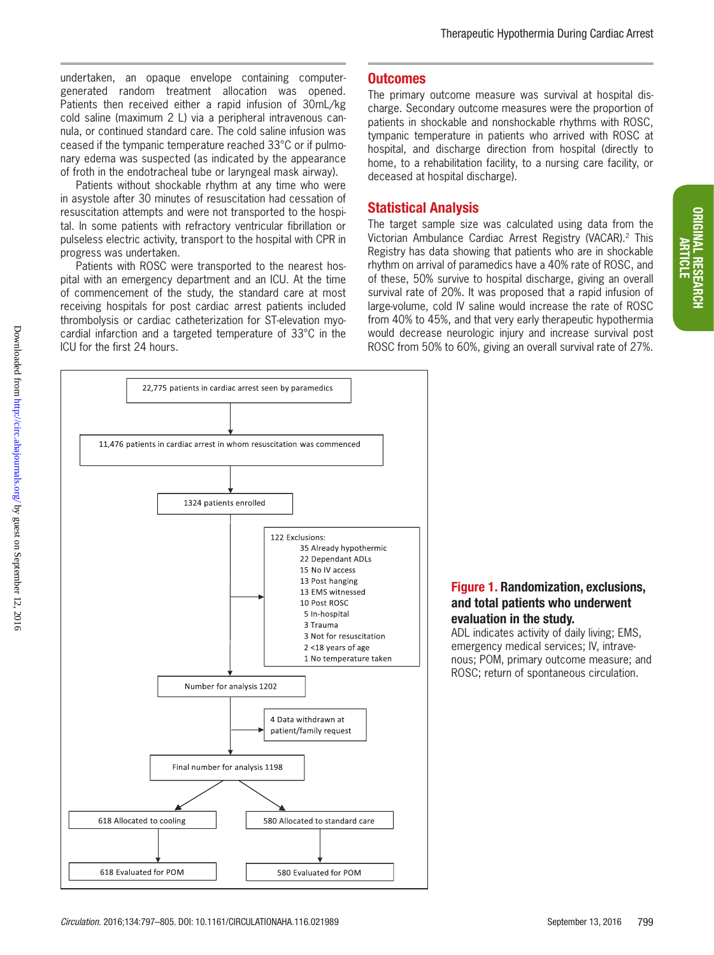undertaken, an opaque envelope containing computergenerated random treatment allocation was opened. Patients then received either a rapid infusion of 30mL/kg cold saline (maximum 2 L) via a peripheral intravenous cannula, or continued standard care. The cold saline infusion was ceased if the tympanic temperature reached 33°C or if pulmonary edema was suspected (as indicated by the appearance of froth in the endotracheal tube or laryngeal mask airway).

Patients without shockable rhythm at any time who were in asystole after 30 minutes of resuscitation had cessation of resuscitation attempts and were not transported to the hospital. In some patients with refractory ventricular fibrillation or pulseless electric activity, transport to the hospital with CPR in progress was undertaken.

Patients with ROSC were transported to the nearest hospital with an emergency department and an ICU. At the time of commencement of the study, the standard care at most receiving hospitals for post cardiac arrest patients included thrombolysis or cardiac catheterization for ST-elevation myocardial infarction and a targeted temperature of 33°C in the ICU for the first 24 hours.

#### **Outcomes**

The primary outcome measure was survival at hospital discharge. Secondary outcome measures were the proportion of patients in shockable and nonshockable rhythms with ROSC, tympanic temperature in patients who arrived with ROSC at hospital, and discharge direction from hospital (directly to home, to a rehabilitation facility, to a nursing care facility, or deceased at hospital discharge).

#### Statistical Analysis

The target sample size was calculated using data from the Victorian Ambulance Cardiac Arrest Registry (VACAR).2 This Registry has data showing that patients who are in shockable rhythm on arrival of paramedics have a 40% rate of ROSC, and of these, 50% survive to hospital discharge, giving an overall survival rate of 20%. It was proposed that a rapid infusion of large-volume, cold IV saline would increase the rate of ROSC from 40% to 45%, and that very early therapeutic hypothermia would decrease neurologic injury and increase survival post ROSC from 50% to 60%, giving an overall survival rate of 27%.



#### Figure 1. Randomization, exclusions, and total patients who underwent evaluation in the study.

ADL indicates activity of daily living; EMS, emergency medical services; IV, intravenous; POM, primary outcome measure; and ROSC; return of spontaneous circulation.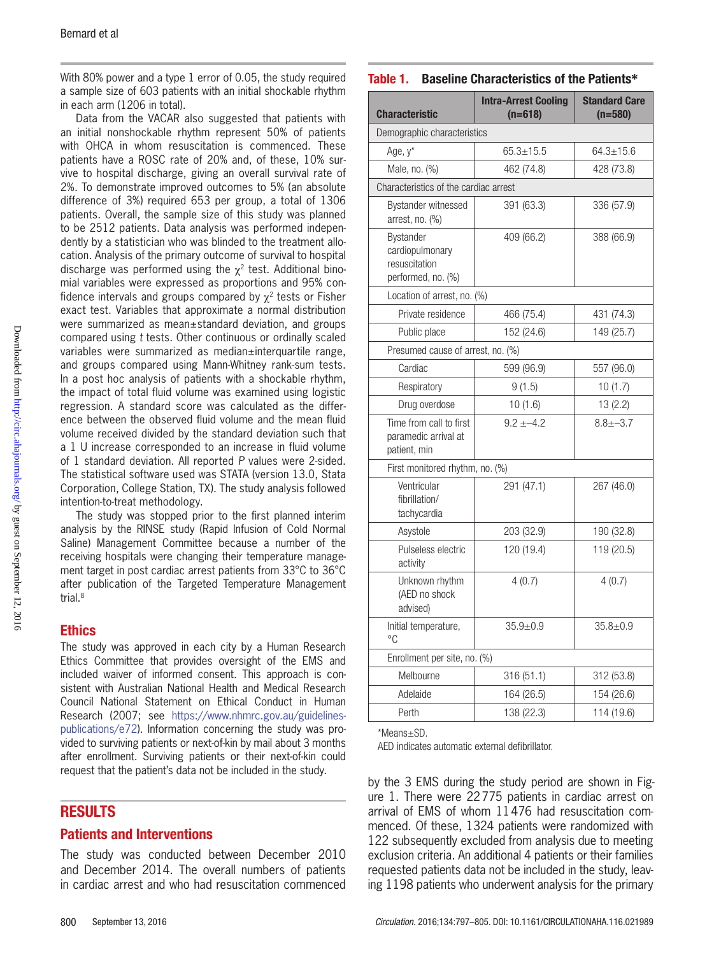With 80% power and a type 1 error of 0.05, the study required a sample size of 603 patients with an initial shockable rhythm in each arm (1206 in total).

Data from the VACAR also suggested that patients with an initial nonshockable rhythm represent 50% of patients with OHCA in whom resuscitation is commenced. These patients have a ROSC rate of 20% and, of these, 10% survive to hospital discharge, giving an overall survival rate of 2%. To demonstrate improved outcomes to 5% (an absolute difference of 3%) required 653 per group, a total of 1306 patients. Overall, the sample size of this study was planned to be 2512 patients. Data analysis was performed independently by a statistician who was blinded to the treatment allocation. Analysis of the primary outcome of survival to hospital discharge was performed using the  $\chi^2$  test. Additional binomial variables were expressed as proportions and 95% confidence intervals and groups compared by  $\chi^2$  tests or Fisher exact test. Variables that approximate a normal distribution were summarized as mean±standard deviation, and groups compared using *t* tests. Other continuous or ordinally scaled variables were summarized as median±interquartile range, and groups compared using Mann-Whitney rank-sum tests. In a post hoc analysis of patients with a shockable rhythm, the impact of total fluid volume was examined using logistic regression. A standard score was calculated as the difference between the observed fluid volume and the mean fluid volume received divided by the standard deviation such that a 1 U increase corresponded to an increase in fluid volume of 1 standard deviation. All reported *P* values were 2-sided. The statistical software used was STATA (version 13.0, Stata Corporation, College Station, TX). The study analysis followed intention-to-treat methodology.

The study was stopped prior to the first planned interim analysis by the RINSE study (Rapid Infusion of Cold Normal Saline) Management Committee because a number of the receiving hospitals were changing their temperature management target in post cardiac arrest patients from 33°C to 36°C after publication of the Targeted Temperature Management trial.8

#### Ethics

The study was approved in each city by a Human Research Ethics Committee that provides oversight of the EMS and included waiver of informed consent. This approach is consistent with Australian National Health and Medical Research Council National Statement on Ethical Conduct in Human Research (2007; see https://www.nhmrc.gov.au/guidelinespublications/e72). Information concerning the study was provided to surviving patients or next-of-kin by mail about 3 months after enrollment. Surviving patients or their next-of-kin could request that the patient's data not be included in the study.

#### RESULTS

#### Patients and Interventions

The study was conducted between December 2010 and December 2014. The overall numbers of patients in cardiac arrest and who had resuscitation commenced

#### Table 1. Baseline Characteristics of the Patients**\***

| <b>Characteristic</b>                                               | <b>Intra-Arrest Cooling</b><br>$(n=618)$ | <b>Standard Care</b><br>$(n=580)$ |  |
|---------------------------------------------------------------------|------------------------------------------|-----------------------------------|--|
| Demographic characteristics                                         |                                          |                                   |  |
| Age, y*                                                             | $65.3 + 15.5$                            | $64.3 \pm 15.6$                   |  |
| Male, no. (%)                                                       | 462 (74.8)                               | 428 (73.8)                        |  |
| Characteristics of the cardiac arrest                               |                                          |                                   |  |
| Bystander witnessed<br>arrest, no. $(\%)$                           | 391 (63.3)                               | 336 (57.9)                        |  |
| Bystander<br>cardiopulmonary<br>resuscitation<br>performed, no. (%) | 409 (66.2)                               | 388 (66.9)                        |  |
| Location of arrest, no. (%)                                         |                                          |                                   |  |
| Private residence                                                   | 466 (75.4)                               | 431 (74.3)                        |  |
| Public place                                                        | 152 (24.6)                               | 149 (25.7)                        |  |
| Presumed cause of arrest, no. (%)                                   |                                          |                                   |  |
| Cardiac                                                             | 599 (96.9)                               | 557 (96.0)                        |  |
| Respiratory                                                         | 9(1.5)                                   | 10(1.7)                           |  |
| Drug overdose                                                       | 10(1.6)                                  | 13(2.2)                           |  |
| Time from call to first<br>paramedic arrival at<br>patient, min     | $9.2 + -4.2$                             | $8.8 + -3.7$                      |  |
| First monitored rhythm, no. (%)                                     |                                          |                                   |  |
| Ventricular<br>fibrillation/<br>tachycardia                         | 291 (47.1)                               | 267 (46.0)                        |  |
| Asystole                                                            | 203 (32.9)                               | 190 (32.8)                        |  |
| Pulseless electric<br>activity                                      | 120 (19.4)                               | 119 (20.5)                        |  |
| Unknown rhythm<br>(AED no shock<br>advised)                         | 4(0.7)                                   | 4(0.7)                            |  |
| Initial temperature,<br>°C                                          | $35.9 + 0.9$                             | $35.8 \pm 0.9$                    |  |
| Enrollment per site, no. (%)                                        |                                          |                                   |  |
| Melbourne                                                           | 316 (51.1)                               | 312 (53.8)                        |  |
| Adelaide                                                            | 164 (26.5)                               | 154 (26.6)                        |  |
| Perth                                                               | 138 (22.3)                               | 114 (19.6)                        |  |

\*Means±SD.

AED indicates automatic external defibrillator.

by the 3 EMS during the study period are shown in Figure 1. There were 22775 patients in cardiac arrest on arrival of EMS of whom 11476 had resuscitation commenced. Of these, 1324 patients were randomized with 122 subsequently excluded from analysis due to meeting exclusion criteria. An additional 4 patients or their families requested patients data not be included in the study, leaving 1198 patients who underwent analysis for the primary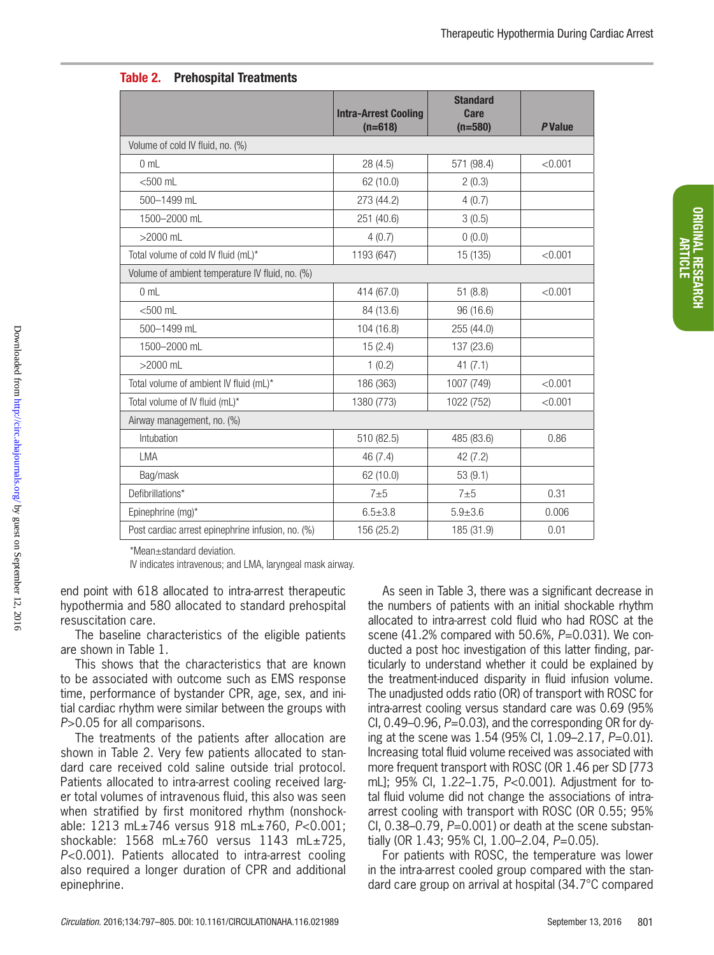|                                                   | <b>Intra-Arrest Cooling</b><br>$(n=618)$ | <b>Standard</b><br><b>Care</b><br>$(n=580)$ | <b>P</b> Value |
|---------------------------------------------------|------------------------------------------|---------------------------------------------|----------------|
| Volume of cold IV fluid, no. (%)                  |                                          |                                             |                |
| 0 <sub>mL</sub>                                   | 28(4.5)                                  | 571 (98.4)                                  | < 0.001        |
| $<$ 500 $m$ L                                     | 62 (10.0)                                | 2(0.3)                                      |                |
| 500-1499 mL                                       | 273 (44.2)                               | 4(0.7)                                      |                |
| 1500-2000 mL                                      | 251 (40.6)                               | 3(0.5)                                      |                |
| $>2000$ mL                                        | 4(0.7)                                   | 0(0.0)                                      |                |
| Total volume of cold IV fluid (mL)*               | 1193 (647)                               | 15 (135)                                    | < 0.001        |
| Volume of ambient temperature IV fluid, no. (%)   |                                          |                                             |                |
| 0 <sub>mL</sub>                                   | 414 (67.0)                               | 51(8.8)                                     | < 0.001        |
| $<$ 500 $m$ L                                     | 84 (13.6)                                | 96 (16.6)                                   |                |
| 500-1499 mL                                       | 104 (16.8)                               | 255 (44.0)                                  |                |
| 1500-2000 mL                                      | 15(2.4)                                  | 137 (23.6)                                  |                |
| $>2000$ mL                                        | 1(0.2)                                   | 41(7.1)                                     |                |
| Total volume of ambient IV fluid (mL)*            | 186 (363)                                | 1007 (749)                                  | < 0.001        |
| Total volume of IV fluid (mL)*                    | 1380 (773)                               | 1022 (752)                                  | < 0.001        |
| Airway management, no. (%)                        |                                          |                                             |                |
| Intubation                                        | 510 (82.5)                               | 485 (83.6)                                  | 0.86           |
| <b>LMA</b>                                        | 46(7.4)                                  | 42(7.2)                                     |                |
| Bag/mask                                          | 62 (10.0)                                | 53(9.1)                                     |                |
| Defibrillations*                                  | $7+5$                                    | $7+5$                                       | 0.31           |
| Epinephrine (mg)*                                 | $6.5 + 3.8$                              | $5.9 + 3.6$                                 | 0.006          |
| Post cardiac arrest epinephrine infusion, no. (%) | 156 (25.2)                               | 185 (31.9)                                  | 0.01           |

| Table 2. | <b>Prehospital Treatments</b> |  |
|----------|-------------------------------|--|
|----------|-------------------------------|--|

\*Mean±standard deviation.

IV indicates intravenous; and LMA, laryngeal mask airway.

end point with 618 allocated to intra-arrest therapeutic hypothermia and 580 allocated to standard prehospital resuscitation care.

The baseline characteristics of the eligible patients are shown in Table 1.

This shows that the characteristics that are known to be associated with outcome such as EMS response time, performance of bystander CPR, age, sex, and initial cardiac rhythm were similar between the groups with *P*>0.05 for all comparisons.

The treatments of the patients after allocation are shown in Table 2. Very few patients allocated to standard care received cold saline outside trial protocol. Patients allocated to intra-arrest cooling received larger total volumes of intravenous fluid, this also was seen when stratified by first monitored rhythm (nonshockable: 1213 mL±746 versus 918 mL±760, *P*<0.001; shockable: 1568 mL±760 versus 1143 mL±725, *P*<0.001). Patients allocated to intra-arrest cooling also required a longer duration of CPR and additional epinephrine.

As seen in Table 3, there was a significant decrease in the numbers of patients with an initial shockable rhythm allocated to intra-arrest cold fluid who had ROSC at the scene (41.2% compared with 50.6%, *P*=0.031). We conducted a post hoc investigation of this latter finding, particularly to understand whether it could be explained by the treatment-induced disparity in fluid infusion volume. The unadjusted odds ratio (OR) of transport with ROSC for intra-arrest cooling versus standard care was 0.69 (95% CI, 0.49–0.96, P=0.03), and the corresponding OR for dying at the scene was 1.54 (95% CI, 1.09–2.17, *P*=0.01). Increasing total fluid volume received was associated with more frequent transport with ROSC (OR 1.46 per SD [773 mL]; 95% CI, 1.22–1.75, *P*<0.001). Adjustment for total fluid volume did not change the associations of intraarrest cooling with transport with ROSC (OR 0.55; 95% CI, 0.38–0.79, *P*=0.001) or death at the scene substantially (OR 1.43; 95% CI, 1.00–2.04, *P*=0.05).

For patients with ROSC, the temperature was lower in the intra-arrest cooled group compared with the standard care group on arrival at hospital (34.7°C compared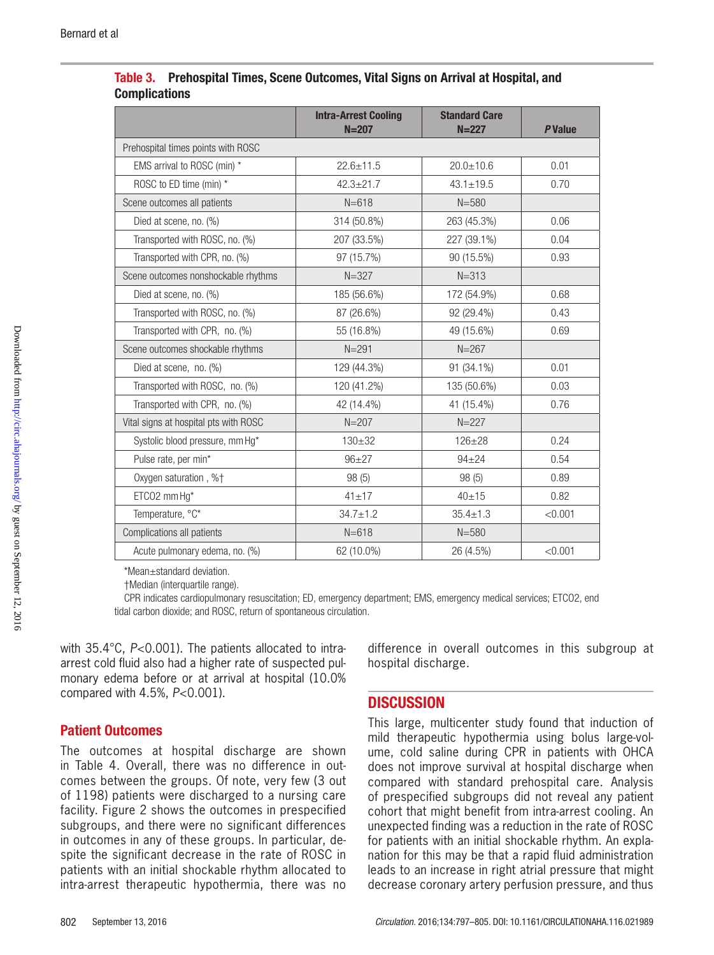|                                       | <b>Intra-Arrest Cooling</b><br>$N = 207$ | <b>Standard Care</b><br>$N = 227$ | <b>P</b> Value |
|---------------------------------------|------------------------------------------|-----------------------------------|----------------|
| Prehospital times points with ROSC    |                                          |                                   |                |
| EMS arrival to ROSC (min) *           | $22.6 \pm 11.5$                          | $20.0 \pm 10.6$                   | 0.01           |
| ROSC to ED time (min) *               | $42.3 \pm 21.7$                          | $43.1 \pm 19.5$                   | 0.70           |
| Scene outcomes all patients           | $N = 618$                                | $N = 580$                         |                |
| Died at scene, no. (%)                | 314 (50.8%)                              | 263 (45.3%)                       | 0.06           |
| Transported with ROSC, no. (%)        | 207 (33.5%)                              | 227 (39.1%)                       | 0.04           |
| Transported with CPR, no. (%)         | 97 (15.7%)                               | 90 (15.5%)                        | 0.93           |
| Scene outcomes nonshockable rhythms   | $N = 327$                                | $N = 313$                         |                |
| Died at scene, no. (%)                | 185 (56.6%)                              | 172 (54.9%)                       | 0.68           |
| Transported with ROSC, no. (%)        | 87 (26.6%)                               | 92 (29.4%)                        | 0.43           |
| Transported with CPR, no. (%)         | 55 (16.8%)                               | 49 (15.6%)                        | 0.69           |
| Scene outcomes shockable rhythms      | $N = 291$                                | $N = 267$                         |                |
| Died at scene, no. (%)                | 129 (44.3%)                              | 91 (34.1%)                        | 0.01           |
| Transported with ROSC, no. (%)        | 120 (41.2%)                              | 135 (50.6%)                       | 0.03           |
| Transported with CPR, no. (%)         | 42 (14.4%)                               | 41 (15.4%)                        | 0.76           |
| Vital signs at hospital pts with ROSC | $N = 207$                                | $N = 227$                         |                |
| Systolic blood pressure, mm Hg*       | $130 + 32$                               | $126 + 28$                        | 0.24           |
| Pulse rate, per min*                  | $96+27$                                  | $94 + 24$                         | 0.54           |
| Oxygen saturation, %+                 | 98 (5)                                   | 98(5)                             | 0.89           |
| ETCO2 mm Hg*                          | $41 + 17$                                | $40 + 15$                         | 0.82           |
| Temperature, °C*                      | $34.7 \pm 1.2$                           | $35.4 \pm 1.3$                    | < 0.001        |
| Complications all patients            | $N = 618$                                | $N = 580$                         |                |
| Acute pulmonary edema, no. (%)        | 62 (10.0%)                               | 26 (4.5%)                         | < 0.001        |

|                      | Table 3. Prehospital Times, Scene Outcomes, Vital Signs on Arrival at Hospital, and |
|----------------------|-------------------------------------------------------------------------------------|
| <b>Complications</b> |                                                                                     |

\*Mean±standard deviation.

†Median (interquartile range).

CPR indicates cardiopulmonary resuscitation; ED, emergency department; EMS, emergency medical services; ETCO2, end tidal carbon dioxide; and ROSC, return of spontaneous circulation.

with 35.4°C, *P*<0.001). The patients allocated to intraarrest cold fluid also had a higher rate of suspected pulmonary edema before or at arrival at hospital (10.0% compared with 4.5%, *P*<0.001).

#### Patient Outcomes

The outcomes at hospital discharge are shown in Table 4. Overall, there was no difference in outcomes between the groups. Of note, very few (3 out of 1198) patients were discharged to a nursing care facility. Figure 2 shows the outcomes in prespecified subgroups, and there were no significant differences in outcomes in any of these groups. In particular, despite the significant decrease in the rate of ROSC in patients with an initial shockable rhythm allocated to intra-arrest therapeutic hypothermia, there was no

difference in overall outcomes in this subgroup at hospital discharge.

## **DISCUSSION**

This large, multicenter study found that induction of mild therapeutic hypothermia using bolus large-volume, cold saline during CPR in patients with OHCA does not improve survival at hospital discharge when compared with standard prehospital care. Analysis of prespecified subgroups did not reveal any patient cohort that might benefit from intra-arrest cooling. An unexpected finding was a reduction in the rate of ROSC for patients with an initial shockable rhythm. An explanation for this may be that a rapid fluid administration leads to an increase in right atrial pressure that might decrease coronary artery perfusion pressure, and thus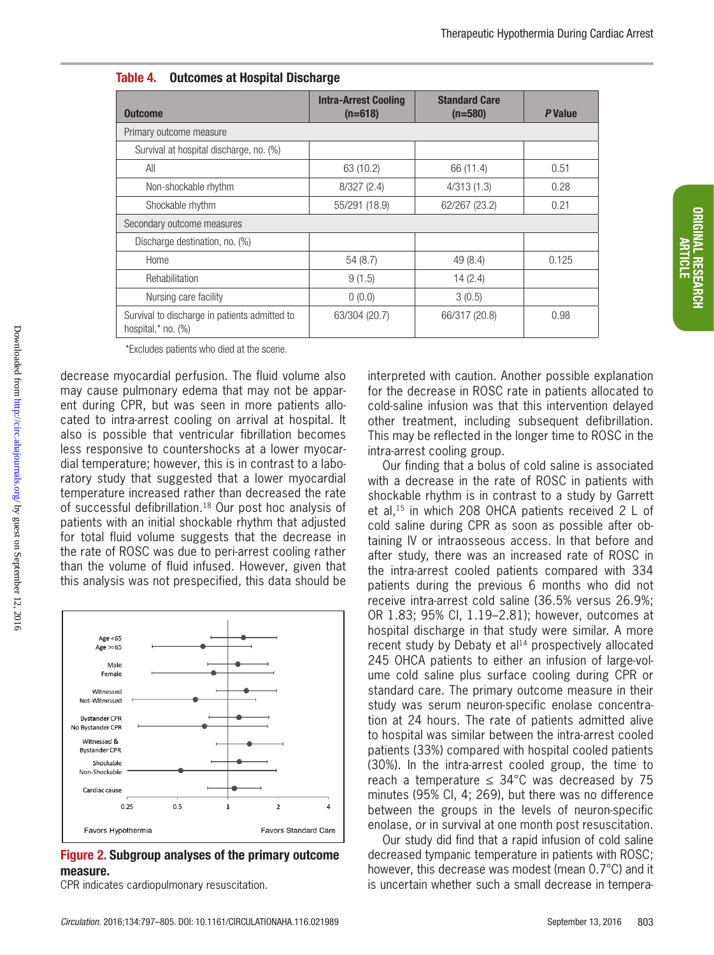|  |  | <b>Table 4. Outcomes at Hospital Discharge</b> |  |  |
|--|--|------------------------------------------------|--|--|
|--|--|------------------------------------------------|--|--|

| <b>Outcome</b>                                                            | <b>Intra-Arrest Cooling</b><br>$(n=618)$ | <b>Standard Care</b><br>$(n=580)$ | P Value |
|---------------------------------------------------------------------------|------------------------------------------|-----------------------------------|---------|
| Primary outcome measure                                                   |                                          |                                   |         |
| Survival at hospital discharge, no. (%)                                   |                                          |                                   |         |
| All                                                                       | 63 (10.2)                                | 66 (11.4)                         | 0.51    |
| Non-shockable rhythm                                                      | 8/327(2.4)                               | 4/313(1.3)                        | 0.28    |
| Shockable rhythm                                                          | 55/291 (18.9)                            | 62/267 (23.2)                     | 0.21    |
| Secondary outcome measures                                                |                                          |                                   |         |
| Discharge destination, no. (%)                                            |                                          |                                   |         |
| Home                                                                      | 54(8.7)                                  | 49 (8.4)                          | 0.125   |
| Rehabilitation                                                            | 9(1.5)                                   | 14(2.4)                           |         |
| Nursing care facility                                                     | 0(0.0)                                   | 3(0.5)                            |         |
| Survival to discharge in patients admitted to<br>hospital, $*$ no. $(\%)$ | 63/304 (20.7)                            | 66/317 (20.8)                     | 0.98    |

\*Excludes patients who died at the scene.

decrease myocardial perfusion. The fluid volume also may cause pulmonary edema that may not be apparent during CPR, but was seen in more patients allocated to intra-arrest cooling on arrival at hospital. It also is possible that ventricular fibrillation becomes less responsive to countershocks at a lower myocardial temperature; however, this is in contrast to a laboratory study that suggested that a lower myocardial temperature increased rather than decreased the rate of successful defibrillation.18 Our post hoc analysis of patients with an initial shockable rhythm that adjusted for total fluid volume suggests that the decrease in the rate of ROSC was due to peri-arrest cooling rather than the volume of fluid infused. However, given that this analysis was not prespecified, this data should be

Downloaded from http://circ.ahajournals.org/ by guest on September 12, 2016 Downloaded from <http://circ.ahajournals.org/> by guest on September 12, 2016



Figure 2. Subgroup analyses of the primary outcome measure.

CPR indicates cardiopulmonary resuscitation.

interpreted with caution. Another possible explanation for the decrease in ROSC rate in patients allocated to cold-saline infusion was that this intervention delayed other treatment, including subsequent defibrillation. This may be reflected in the longer time to ROSC in the intra-arrest cooling group.

Our finding that a bolus of cold saline is associated with a decrease in the rate of ROSC in patients with shockable rhythm is in contrast to a study by Garrett et al,15 in which 208 OHCA patients received 2 L of cold saline during CPR as soon as possible after obtaining IV or intraosseous access. In that before and after study, there was an increased rate of ROSC in the intra-arrest cooled patients compared with 334 patients during the previous 6 months who did not receive intra-arrest cold saline (36.5% versus 26.9%; OR 1.83; 95% CI, 1.19–2.81); however, outcomes at hospital discharge in that study were similar. A more recent study by Debaty et al<sup>14</sup> prospectively allocated 245 OHCA patients to either an infusion of large-volume cold saline plus surface cooling during CPR or standard care. The primary outcome measure in their study was serum neuron-specific enolase concentration at 24 hours. The rate of patients admitted alive to hospital was similar between the intra-arrest cooled patients (33%) compared with hospital cooled patients (30%). In the intra-arrest cooled group, the time to reach a temperature  $\leq 34^{\circ}$ C was decreased by 75 minutes (95% CI, 4; 269), but there was no difference between the groups in the levels of neuron-specific enolase, or in survival at one month post resuscitation.

Our study did find that a rapid infusion of cold saline decreased tympanic temperature in patients with ROSC; however, this decrease was modest (mean 0.7°C) and it is uncertain whether such a small decrease in tempera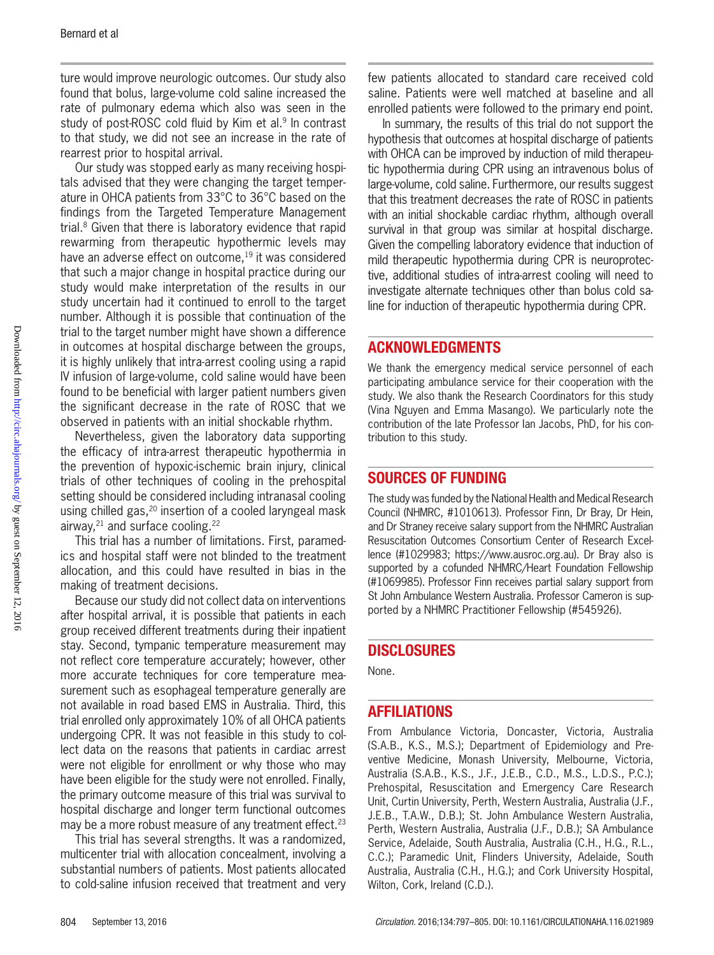ture would improve neurologic outcomes. Our study also found that bolus, large-volume cold saline increased the rate of pulmonary edema which also was seen in the study of post-ROSC cold fluid by Kim et al.<sup>9</sup> In contrast to that study, we did not see an increase in the rate of rearrest prior to hospital arrival.

Our study was stopped early as many receiving hospitals advised that they were changing the target temperature in OHCA patients from 33°C to 36°C based on the findings from the Targeted Temperature Management trial.8 Given that there is laboratory evidence that rapid rewarming from therapeutic hypothermic levels may have an adverse effect on outcome,<sup>19</sup> it was considered that such a major change in hospital practice during our study would make interpretation of the results in our study uncertain had it continued to enroll to the target number. Although it is possible that continuation of the trial to the target number might have shown a difference in outcomes at hospital discharge between the groups, it is highly unlikely that intra-arrest cooling using a rapid IV infusion of large-volume, cold saline would have been found to be beneficial with larger patient numbers given the significant decrease in the rate of ROSC that we observed in patients with an initial shockable rhythm.

Nevertheless, given the laboratory data supporting the efficacy of intra-arrest therapeutic hypothermia in the prevention of hypoxic-ischemic brain injury, clinical trials of other techniques of cooling in the prehospital setting should be considered including intranasal cooling using chilled gas,<sup>20</sup> insertion of a cooled laryngeal mask airway,<sup>21</sup> and surface cooling.<sup>22</sup>

This trial has a number of limitations. First, paramedics and hospital staff were not blinded to the treatment allocation, and this could have resulted in bias in the making of treatment decisions.

Because our study did not collect data on interventions after hospital arrival, it is possible that patients in each group received different treatments during their inpatient stay. Second, tympanic temperature measurement may not reflect core temperature accurately; however, other more accurate techniques for core temperature measurement such as esophageal temperature generally are not available in road based EMS in Australia. Third, this trial enrolled only approximately 10% of all OHCA patients undergoing CPR. It was not feasible in this study to collect data on the reasons that patients in cardiac arrest were not eligible for enrollment or why those who may have been eligible for the study were not enrolled. Finally, the primary outcome measure of this trial was survival to hospital discharge and longer term functional outcomes may be a more robust measure of any treatment effect.<sup>23</sup>

This trial has several strengths. It was a randomized, multicenter trial with allocation concealment, involving a substantial numbers of patients. Most patients allocated to cold-saline infusion received that treatment and very few patients allocated to standard care received cold saline. Patients were well matched at baseline and all enrolled patients were followed to the primary end point.

In summary, the results of this trial do not support the hypothesis that outcomes at hospital discharge of patients with OHCA can be improved by induction of mild therapeutic hypothermia during CPR using an intravenous bolus of large-volume, cold saline. Furthermore, our results suggest that this treatment decreases the rate of ROSC in patients with an initial shockable cardiac rhythm, although overall survival in that group was similar at hospital discharge. Given the compelling laboratory evidence that induction of mild therapeutic hypothermia during CPR is neuroprotective, additional studies of intra-arrest cooling will need to investigate alternate techniques other than bolus cold saline for induction of therapeutic hypothermia during CPR.

#### ACKNOWLEDGMENTS

We thank the emergency medical service personnel of each participating ambulance service for their cooperation with the study. We also thank the Research Coordinators for this study (Vina Nguyen and Emma Masango). We particularly note the contribution of the late Professor Ian Jacobs, PhD, for his contribution to this study.

## SOURCES OF FUNDING

The study was funded by the National Health and Medical Research Council (NHMRC, #1010613). Professor Finn, Dr Bray, Dr Hein, and Dr Straney receive salary support from the NHMRC Australian Resuscitation Outcomes Consortium Center of Research Excellence (#1029983; https://www.ausroc.org.au). Dr Bray also is supported by a cofunded NHMRC/Heart Foundation Fellowship (#1069985). Professor Finn receives partial salary support from St John Ambulance Western Australia. Professor Cameron is supported by a NHMRC Practitioner Fellowship (#545926).

#### **DISCLOSURES**

None.

## **AFFILIATIONS**

From Ambulance Victoria, Doncaster, Victoria, Australia (S.A.B., K.S., M.S.); Department of Epidemiology and Preventive Medicine, Monash University, Melbourne, Victoria, Australia (S.A.B., K.S., J.F., J.E.B., C.D., M.S., L.D.S., P.C.); Prehospital, Resuscitation and Emergency Care Research Unit, Curtin University, Perth, Western Australia, Australia (J.F., J.E.B., T.A.W., D.B.); St. John Ambulance Western Australia, Perth, Western Australia, Australia (J.F., D.B.); SA Ambulance Service, Adelaide, South Australia, Australia (C.H., H.G., R.L., C.C.); Paramedic Unit, Flinders University, Adelaide, South Australia, Australia (C.H., H.G.); and Cork University Hospital, Wilton, Cork, Ireland (C.D.).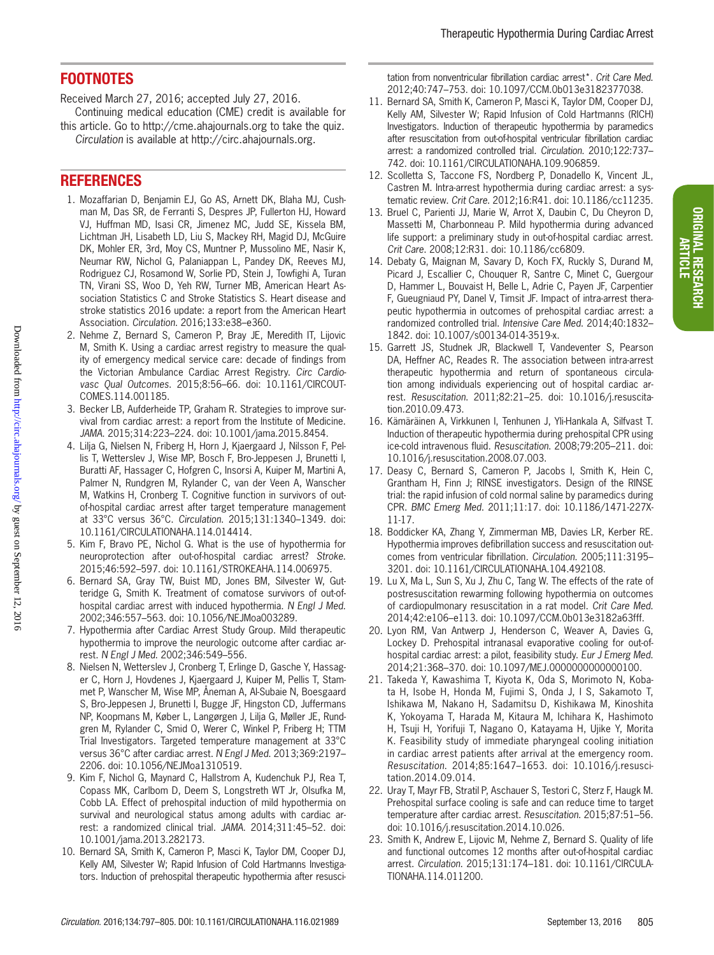## FOOTNOTES

Received March 27, 2016; accepted July 27, 2016.

Continuing medical education (CME) credit is available for this article. Go to http://cme.ahajournals.org to take the quiz.

*Circulation* is available at http://circ.ahajournals.org.

#### REFERENCES

- 1. Mozaffarian D, Benjamin EJ, Go AS, Arnett DK, Blaha MJ, Cushman M, Das SR, de Ferranti S, Despres JP, Fullerton HJ, Howard VJ, Huffman MD, Isasi CR, Jimenez MC, Judd SE, Kissela BM, Lichtman JH, Lisabeth LD, Liu S, Mackey RH, Magid DJ, McGuire DK, Mohler ER, 3rd, Moy CS, Muntner P, Mussolino ME, Nasir K, Neumar RW, Nichol G, Palaniappan L, Pandey DK, Reeves MJ, Rodriguez CJ, Rosamond W, Sorlie PD, Stein J, Towfighi A, Turan TN, Virani SS, Woo D, Yeh RW, Turner MB, American Heart Association Statistics C and Stroke Statistics S. Heart disease and stroke statistics 2016 update: a report from the American Heart Association. *Circulation*. 2016;133:e38–e360.
- 2. Nehme Z, Bernard S, Cameron P, Bray JE, Meredith IT, Lijovic M, Smith K. Using a cardiac arrest registry to measure the quality of emergency medical service care: decade of findings from the Victorian Ambulance Cardiac Arrest Registry. *Circ Cardiovasc Qual Outcomes*. 2015;8:56–66. doi: 10.1161/CIRCOUT-COMES.114.001185.
- 3. Becker LB, Aufderheide TP, Graham R. Strategies to improve survival from cardiac arrest: a report from the Institute of Medicine. *JAMA*. 2015;314:223–224. doi: 10.1001/jama.2015.8454.
- 4. Lilja G, Nielsen N, Friberg H, Horn J, Kjaergaard J, Nilsson F, Pellis T, Wetterslev J, Wise MP, Bosch F, Bro-Jeppesen J, Brunetti I, Buratti AF, Hassager C, Hofgren C, Insorsi A, Kuiper M, Martini A, Palmer N, Rundgren M, Rylander C, van der Veen A, Wanscher M, Watkins H, Cronberg T. Cognitive function in survivors of outof-hospital cardiac arrest after target temperature management at 33°C versus 36°C. *Circulation*. 2015;131:1340–1349. doi: 10.1161/CIRCULATIONAHA.114.014414.
- 5. Kim F, Bravo PE, Nichol G. What is the use of hypothermia for neuroprotection after out-of-hospital cardiac arrest? *Stroke*. 2015;46:592–597. doi: 10.1161/STROKEAHA.114.006975.
- 6. Bernard SA, Gray TW, Buist MD, Jones BM, Silvester W, Gutteridge G, Smith K. Treatment of comatose survivors of out-ofhospital cardiac arrest with induced hypothermia. *N Engl J Med*. 2002;346:557–563. doi: 10.1056/NEJMoa003289.
- 7. Hypothermia after Cardiac Arrest Study Group. Mild therapeutic hypothermia to improve the neurologic outcome after cardiac arrest. *N Engl J Med*. 2002;346:549–556.
- 8. Nielsen N, Wetterslev J, Cronberg T, Erlinge D, Gasche Y, Hassager C, Horn J, Hovdenes J, Kjaergaard J, Kuiper M, Pellis T, Stammet P, Wanscher M, Wise MP, Åneman A, Al-Subaie N, Boesgaard S, Bro-Jeppesen J, Brunetti I, Bugge JF, Hingston CD, Juffermans NP, Koopmans M, Køber L, Langørgen J, Lilja G, Møller JE, Rundgren M, Rylander C, Smid O, Werer C, Winkel P, Friberg H; TTM Trial Investigators. Targeted temperature management at 33°C versus 36°C after cardiac arrest. *N Engl J Med*. 2013;369:2197– 2206. doi: 10.1056/NEJMoa1310519.
- 9. Kim F, Nichol G, Maynard C, Hallstrom A, Kudenchuk PJ, Rea T, Copass MK, Carlbom D, Deem S, Longstreth WT Jr, Olsufka M, Cobb LA. Effect of prehospital induction of mild hypothermia on survival and neurological status among adults with cardiac arrest: a randomized clinical trial. *JAMA*. 2014;311:45–52. doi: 10.1001/jama.2013.282173.
- 10. Bernard SA, Smith K, Cameron P, Masci K, Taylor DM, Cooper DJ, Kelly AM, Silvester W; Rapid Infusion of Cold Hartmanns Investigators. Induction of prehospital therapeutic hypothermia after resusci-

tation from nonventricular fibrillation cardiac arrest\*. *Crit Care Med*. 2012;40:747–753. doi: 10.1097/CCM.0b013e3182377038.

- 11. Bernard SA, Smith K, Cameron P, Masci K, Taylor DM, Cooper DJ, Kelly AM, Silvester W; Rapid Infusion of Cold Hartmanns (RICH) Investigators. Induction of therapeutic hypothermia by paramedics after resuscitation from out-of-hospital ventricular fibrillation cardiac arrest: a randomized controlled trial. *Circulation*. 2010;122:737– 742. doi: 10.1161/CIRCULATIONAHA.109.906859.
- 12. Scolletta S, Taccone FS, Nordberg P, Donadello K, Vincent JL, Castren M. Intra-arrest hypothermia during cardiac arrest: a systematic review. *Crit Care*. 2012;16:R41. doi: 10.1186/cc11235.
- 13. Bruel C, Parienti JJ, Marie W, Arrot X, Daubin C, Du Cheyron D, Massetti M, Charbonneau P. Mild hypothermia during advanced life support: a preliminary study in out-of-hospital cardiac arrest. *Crit Care*. 2008;12:R31. doi: 10.1186/cc6809.
- 14. Debaty G, Maignan M, Savary D, Koch FX, Ruckly S, Durand M, Picard J, Escallier C, Chouquer R, Santre C, Minet C, Guergour D, Hammer L, Bouvaist H, Belle L, Adrie C, Payen JF, Carpentier F, Gueugniaud PY, Danel V, Timsit JF. Impact of intra-arrest therapeutic hypothermia in outcomes of prehospital cardiac arrest: a randomized controlled trial. *Intensive Care Med*. 2014;40:1832– 1842. doi: 10.1007/s00134-014-3519-x.
- 15. Garrett JS, Studnek JR, Blackwell T, Vandeventer S, Pearson DA, Heffner AC, Reades R. The association between intra-arrest therapeutic hypothermia and return of spontaneous circulation among individuals experiencing out of hospital cardiac arrest. *Resuscitation*. 2011;82:21–25. doi: 10.1016/j.resuscitation.2010.09.473.
- 16. Kämäräinen A, Virkkunen I, Tenhunen J, Yli-Hankala A, Silfvast T. Induction of therapeutic hypothermia during prehospital CPR using ice-cold intravenous fluid. *Resuscitation*. 2008;79:205–211. doi: 10.1016/j.resuscitation.2008.07.003.
- 17. Deasy C, Bernard S, Cameron P, Jacobs I, Smith K, Hein C, Grantham H, Finn J; RINSE investigators. Design of the RINSE trial: the rapid infusion of cold normal saline by paramedics during CPR. *BMC Emerg Med*. 2011;11:17. doi: 10.1186/1471-227X-11-17.
- 18. Boddicker KA, Zhang Y, Zimmerman MB, Davies LR, Kerber RE. Hypothermia improves defibrillation success and resuscitation outcomes from ventricular fibrillation. *Circulation*. 2005;111:3195– 3201. doi: 10.1161/CIRCULATIONAHA.104.492108.
- 19. Lu X, Ma L, Sun S, Xu J, Zhu C, Tang W. The effects of the rate of postresuscitation rewarming following hypothermia on outcomes of cardiopulmonary resuscitation in a rat model. *Crit Care Med*. 2014;42:e106–e113. doi: 10.1097/CCM.0b013e3182a63fff.
- 20. Lyon RM, Van Antwerp J, Henderson C, Weaver A, Davies G, Lockey D. Prehospital intranasal evaporative cooling for out-ofhospital cardiac arrest: a pilot, feasibility study. *Eur J Emerg Med*. 2014;21:368–370. doi: 10.1097/MEJ.0000000000000100.
- 21. Takeda Y, Kawashima T, Kiyota K, Oda S, Morimoto N, Kobata H, Isobe H, Honda M, Fujimi S, Onda J, I S, Sakamoto T, Ishikawa M, Nakano H, Sadamitsu D, Kishikawa M, Kinoshita K, Yokoyama T, Harada M, Kitaura M, Ichihara K, Hashimoto H, Tsuji H, Yorifuji T, Nagano O, Katayama H, Ujike Y, Morita K. Feasibility study of immediate pharyngeal cooling initiation in cardiac arrest patients after arrival at the emergency room. *Resuscitation*. 2014;85:1647–1653. doi: 10.1016/j.resuscitation.2014.09.014.
- 22. Uray T, Mayr FB, Stratil P, Aschauer S, Testori C, Sterz F, Haugk M. Prehospital surface cooling is safe and can reduce time to target temperature after cardiac arrest. *Resuscitation*. 2015;87:51–56. doi: 10.1016/j.resuscitation.2014.10.026.
- 23. Smith K, Andrew E, Lijovic M, Nehme Z, Bernard S. Quality of life and functional outcomes 12 months after out-of-hospital cardiac arrest. *Circulation*. 2015;131:174–181. doi: 10.1161/CIRCULA-TIONAHA.114.011200.